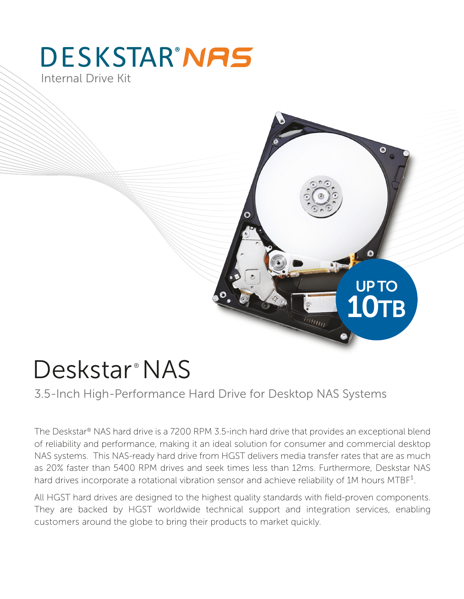## **DESKSTAR'NAS** Internal Drive Kit

# UP TO 10TB $\overline{\mathscr{H}_{\mathcal{H}_{H_1}}}$

# Deskstar<sup>®</sup>NAS

3.5-Inch High-Performance Hard Drive for Desktop NAS Systems

The Deskstar® NAS hard drive is a 7200 RPM 3.5-inch hard drive that provides an exceptional blend of reliability and performance, making it an ideal solution for consumer and commercial desktop NAS systems. This NAS-ready hard drive from HGST delivers media transfer rates that are as much as 20% faster than 5400 RPM drives and seek times less than 12ms. Furthermore, Deskstar NAS hard drives incorporate a rotational vibration sensor and achieve reliability of 1M hours MTBF<sup>1</sup>.

All HGST hard drives are designed to the highest quality standards with field-proven components. They are backed by HGST worldwide technical support and integration services, enabling customers around the globe to bring their products to market quickly.